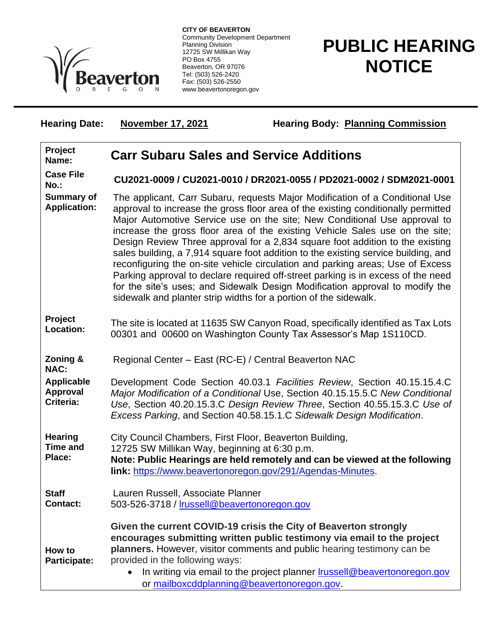

**CITY OF BEAVERTON** Community Development Department Planning Division 12725 SW Millikan Way PO Box 4755 Beaverton, OR 97076 Tel: (503) 526-2420 Fax: (503) 526-2550 www.beavertonoregon.gov

## **PUBLIC HEARING NOTICE**

Hearing Date: November 17, 2021 Hearing Body: Planning Commission

| Project<br>Name:                                  | <b>Carr Subaru Sales and Service Additions</b>                                                                                                                                                                                                                                                                                                                                                                                                                                                                                                                                                                                                                                                                                                                                                                                  |
|---------------------------------------------------|---------------------------------------------------------------------------------------------------------------------------------------------------------------------------------------------------------------------------------------------------------------------------------------------------------------------------------------------------------------------------------------------------------------------------------------------------------------------------------------------------------------------------------------------------------------------------------------------------------------------------------------------------------------------------------------------------------------------------------------------------------------------------------------------------------------------------------|
| <b>Case File</b><br>No.:                          | CU2021-0009 / CU2021-0010 / DR2021-0055 / PD2021-0002 / SDM2021-0001                                                                                                                                                                                                                                                                                                                                                                                                                                                                                                                                                                                                                                                                                                                                                            |
| <b>Summary of</b><br><b>Application:</b>          | The applicant, Carr Subaru, requests Major Modification of a Conditional Use<br>approval to increase the gross floor area of the existing conditionally permitted<br>Major Automotive Service use on the site; New Conditional Use approval to<br>increase the gross floor area of the existing Vehicle Sales use on the site;<br>Design Review Three approval for a 2,834 square foot addition to the existing<br>sales building, a 7,914 square foot addition to the existing service building, and<br>reconfiguring the on-site vehicle circulation and parking areas; Use of Excess<br>Parking approval to declare required off-street parking is in excess of the need<br>for the site's uses; and Sidewalk Design Modification approval to modify the<br>sidewalk and planter strip widths for a portion of the sidewalk. |
| Project<br>Location:                              | The site is located at 11635 SW Canyon Road, specifically identified as Tax Lots<br>00301 and 00600 on Washington County Tax Assessor's Map 1S110CD.                                                                                                                                                                                                                                                                                                                                                                                                                                                                                                                                                                                                                                                                            |
| Zoning &<br><b>NAC:</b>                           | Regional Center - East (RC-E) / Central Beaverton NAC                                                                                                                                                                                                                                                                                                                                                                                                                                                                                                                                                                                                                                                                                                                                                                           |
| <b>Applicable</b><br><b>Approval</b><br>Criteria: | Development Code Section 40.03.1 Facilities Review, Section 40.15.15.4.C<br>Major Modification of a Conditional Use, Section 40.15.15.5.C New Conditional<br>Use, Section 40.20.15.3.C Design Review Three, Section 40.55.15.3.C Use of<br>Excess Parking, and Section 40.58.15.1.C Sidewalk Design Modification.                                                                                                                                                                                                                                                                                                                                                                                                                                                                                                               |
| <b>Hearing</b><br><b>Time and</b>                 | City Council Chambers, First Floor, Beaverton Building,                                                                                                                                                                                                                                                                                                                                                                                                                                                                                                                                                                                                                                                                                                                                                                         |
| Place:                                            | 12725 SW Millikan Way, beginning at 6:30 p.m.<br>Note: Public Hearings are held remotely and can be viewed at the following<br>link: https://www.beavertonoregon.gov/291/Agendas-Minutes.                                                                                                                                                                                                                                                                                                                                                                                                                                                                                                                                                                                                                                       |
| <b>Staff</b><br><b>Contact:</b>                   | Lauren Russell, Associate Planner<br>503-526-3718 / Irussell@beavertonoregon.gov                                                                                                                                                                                                                                                                                                                                                                                                                                                                                                                                                                                                                                                                                                                                                |
| How to<br><b>Participate:</b>                     | Given the current COVID-19 crisis the City of Beaverton strongly<br>encourages submitting written public testimony via email to the project<br>planners. However, visitor comments and public hearing testimony can be<br>provided in the following ways:<br>In writing via email to the project planner <b>Irussell@beavertonoregon.gov</b><br>or mailboxcddplanning@beavertonoregon.gov.                                                                                                                                                                                                                                                                                                                                                                                                                                      |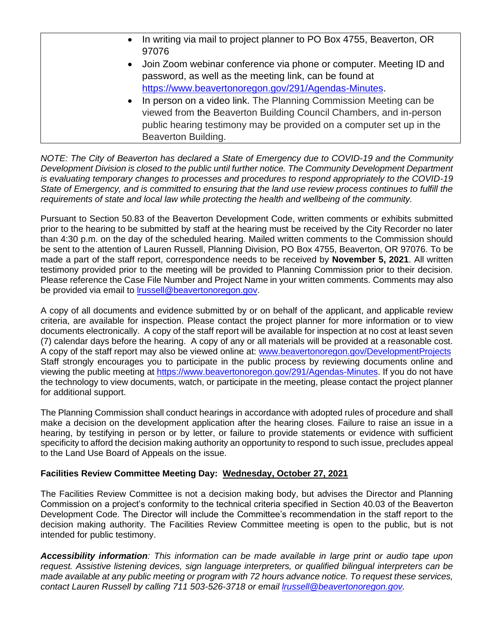| $\bullet$ | In writing via mail to project planner to PO Box 4755, Beaverton, OR |
|-----------|----------------------------------------------------------------------|
|           | 97076                                                                |
| $\bullet$ | Join Zoom webinar conference via phone or computer. Meeting ID and   |
|           | password, as well as the meeting link, can be found at               |
|           | https://www.beavertonoregon.gov/291/Agendas-Minutes.                 |
| $\bullet$ | In person on a video link. The Planning Commission Meeting can be    |
|           | viewed from the Beaverton Building Council Chambers, and in-person   |
|           | public hearing testimony may be provided on a computer set up in the |
|           | Beaverton Building.                                                  |

*NOTE: The City of Beaverton has declared a State of Emergency due to COVID-19 and the Community Development Division is closed to the public until further notice. The Community Development Department is evaluating temporary changes to processes and procedures to respond appropriately to the COVID-19 State of Emergency, and is committed to ensuring that the land use review process continues to fulfill the requirements of state and local law while protecting the health and wellbeing of the community.*

Pursuant to Section 50.83 of the Beaverton Development Code, written comments or exhibits submitted prior to the hearing to be submitted by staff at the hearing must be received by the City Recorder no later than 4:30 p.m. on the day of the scheduled hearing. Mailed written comments to the Commission should be sent to the attention of Lauren Russell, Planning Division, PO Box 4755, Beaverton, OR 97076. To be made a part of the staff report, correspondence needs to be received by **November 5, 2021**. All written testimony provided prior to the meeting will be provided to Planning Commission prior to their decision. Please reference the Case File Number and Project Name in your written comments. Comments may also be provided via email to [lrussell@beavertonoregon.gov.](mailto:lrussell@beavertonoregon.gov)

A copy of all documents and evidence submitted by or on behalf of the applicant, and applicable review criteria, are available for inspection. Please contact the project planner for more information or to view documents electronically. A copy of the staff report will be available for inspection at no cost at least seven (7) calendar days before the hearing. A copy of any or all materials will be provided at a reasonable cost. A copy of the staff report may also be viewed online at: [www.beavertonoregon.gov/DevelopmentProjects](http://www.beavertonoregon.gov/DevelopmentProjects) Staff strongly encourages you to participate in the public process by reviewing documents online and viewing the public meeting at [https://www.beavertonoregon.gov/291/Agendas-Minutes.](https://www.beavertonoregon.gov/291/Agendas-Minutes) If you do not have the technology to view documents, watch, or participate in the meeting, please contact the project planner for additional support.

The Planning Commission shall conduct hearings in accordance with adopted rules of procedure and shall make a decision on the development application after the hearing closes. Failure to raise an issue in a hearing, by testifying in person or by letter, or failure to provide statements or evidence with sufficient specificity to afford the decision making authority an opportunity to respond to such issue, precludes appeal to the Land Use Board of Appeals on the issue.

## **Facilities Review Committee Meeting Day: Wednesday, October 27, 2021**

The Facilities Review Committee is not a decision making body, but advises the Director and Planning Commission on a project's conformity to the technical criteria specified in Section 40.03 of the Beaverton Development Code. The Director will include the Committee's recommendation in the staff report to the decision making authority. The Facilities Review Committee meeting is open to the public, but is not intended for public testimony.

*Accessibility information: This information can be made available in large print or audio tape upon request. Assistive listening devices, sign language interpreters, or qualified bilingual interpreters can be made available at any public meeting or program with 72 hours advance notice. To request these services, contact Lauren Russell by calling 711 503-526-3718 or email [lrussell@beavertonoregon.gov.](mailto:lrussell@beavertonoregon.gov)*